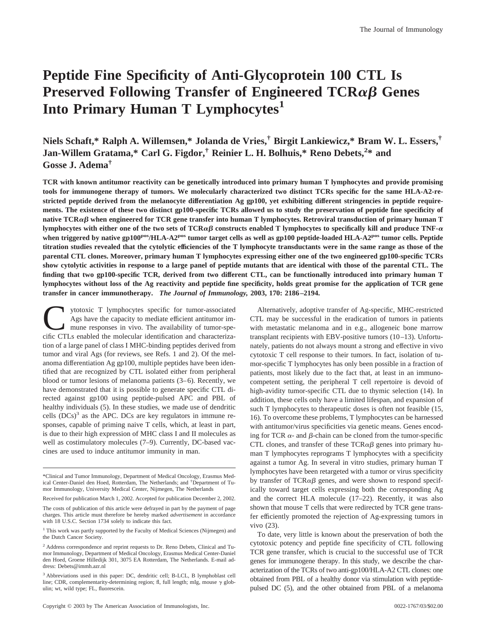# **Peptide Fine Specificity of Anti-Glycoprotein 100 CTL Is** Preserved Following Transfer of Engineered TCR $\alpha\beta$  Genes **Into Primary Human T Lymphocytes1**

**Niels Schaft,\* Ralph A. Willemsen,\* Jolanda de Vries,† Birgit Lankiewicz,\* Bram W. L. Essers,† Jan-Willem Gratama,\* Carl G. Figdor,† Reinier L. H. Bolhuis,\* Reno Debets,<sup>2</sup> \* and Gosse J. Adema†**

**TCR with known antitumor reactivity can be genetically introduced into primary human T lymphocytes and provide promising tools for immunogene therapy of tumors. We molecularly characterized two distinct TCRs specific for the same HLA-A2-restricted peptide derived from the melanocyte differentiation Ag gp100, yet exhibiting different stringencies in peptide requirements. The existence of these two distinct gp100-specific TCRs allowed us to study the preservation of peptide fine specificity of** native TCR $\alpha\beta$  when engineered for TCR gene transfer into human T lymphocytes. Retroviral transduction of primary human T lymphocytes with either one of the two sets of TCR $\alpha\beta$  constructs enabled T lymphocytes to specifically kill and produce TNF- $\alpha$ **when triggered by native gp100pos/HLA-A2pos tumor target cells as well as gp100 peptide-loaded HLA-A2pos tumor cells. Peptide titration studies revealed that the cytolytic efficiencies of the T lymphocyte transductants were in the same range as those of the parental CTL clones. Moreover, primary human T lymphocytes expressing either one of the two engineered gp100-specific TCRs show cytolytic activities in response to a large panel of peptide mutants that are identical with those of the parental CTL. The finding that two gp100-specific TCR, derived from two different CTL, can be functionally introduced into primary human T lymphocytes without loss of the Ag reactivity and peptide fine specificity, holds great promise for the application of TCR gene transfer in cancer immunotherapy.** *The Journal of Immunology,* **2003, 170: 2186–2194.**

ytotoxic T lymphocytes specific for tumor-associated Ags have the capacity to mediate efficient antitumor immune responses in vivo. The availability of tumor-specific CTLs enabled the molecular identification and characterization of a large panel of class I MHC-binding peptides derived from tumor and viral Ags (for reviews, see Refs. 1 and 2). Of the melanoma differentiation Ag gp100, multiple peptides have been identified that are recognized by CTL isolated either from peripheral blood or tumor lesions of melanoma patients (3–6). Recently, we have demonstrated that it is possible to generate specific CTL directed against gp100 using peptide-pulsed APC and PBL of healthy individuals (5). In these studies, we made use of dendritic cells  $(DCs)^3$  as the APC. DCs are key regulators in immune responses, capable of priming naive T cells, which, at least in part, is due to their high expression of MHC class I and II molecules as well as costimulatory molecules (7–9). Currently, DC-based vaccines are used to induce antitumor immunity in man.

Alternatively, adoptive transfer of Ag-specific, MHC-restricted CTL may be successful in the eradication of tumors in patients with metastatic melanoma and in e.g., allogeneic bone marrow transplant recipients with EBV-positive tumors (10–13). Unfortunately, patients do not always mount a strong and effective in vivo cytotoxic T cell response to their tumors. In fact, isolation of tumor-specific T lymphocytes has only been possible in a fraction of patients, most likely due to the fact that, at least in an immunocompetent setting, the peripheral T cell repertoire is devoid of high-avidity tumor-specific CTL due to thymic selection (14). In addition, these cells only have a limited lifespan, and expansion of such T lymphocytes to therapeutic doses is often not feasible (15, 16). To overcome these problems, T lymphocytes can be harnessed with antitumor/virus specificities via genetic means. Genes encoding for TCR  $\alpha$ - and  $\beta$ -chain can be cloned from the tumor-specific CTL clones, and transfer of these  $TCR\alpha\beta$  genes into primary human T lymphocytes reprograms T lymphocytes with a specificity against a tumor Ag. In several in vitro studies, primary human T lymphocytes have been retargeted with a tumor or virus specificity by transfer of  $TCR\alpha\beta$  genes, and were shown to respond specifically toward target cells expressing both the corresponding Ag and the correct HLA molecule (17–22). Recently, it was also shown that mouse T cells that were redirected by TCR gene transfer efficiently promoted the rejection of Ag-expressing tumors in vivo (23).

To date, very little is known about the preservation of both the cytotoxic potency and peptide fine specificity of CTL following TCR gene transfer, which is crucial to the successful use of TCR genes for immunogene therapy. In this study, we describe the characterization of the TCRs of two anti-gp100/HLA-A2 CTL clones: one obtained from PBL of a healthy donor via stimulation with peptidepulsed DC (5), and the other obtained from PBL of a melanoma

<sup>\*</sup>Clinical and Tumor Immunology, Department of Medical Oncology, Erasmus Medical Center-Daniel den Hoed, Rotterdam, The Netherlands; and † Department of Tumor Immunology, University Medical Center, Nijmegen, The Netherlands

Received for publication March 1, 2002. Accepted for publication December 2, 2002.

The costs of publication of this article were defrayed in part by the payment of page charges. This article must therefore be hereby marked *advertisement* in accordance with 18 U.S.C. Section 1734 solely to indicate this fact.

<sup>&</sup>lt;sup>1</sup> This work was partly supported by the Faculty of Medical Sciences (Nijmegen) and the Dutch Cancer Society.

<sup>2</sup> Address correspondence and reprint requests to Dr. Reno Debets, Clinical and Tumor Immunology, Department of Medical Oncology, Erasmus Medical Center-Daniel den Hoed, Groene Hilledijk 301, 3075 EA Rotterdam, The Netherlands. E-mail address: Debets@immh.azr.nl

<sup>&</sup>lt;sup>3</sup> Abbreviations used in this paper: DC, dendritic cell; B-LCL, B lymphoblast cell line; CDR, complementarity-determining region; fl, full length; mIg, mouse  $\gamma$  globulin; wt, wild type; FL, fluorescein.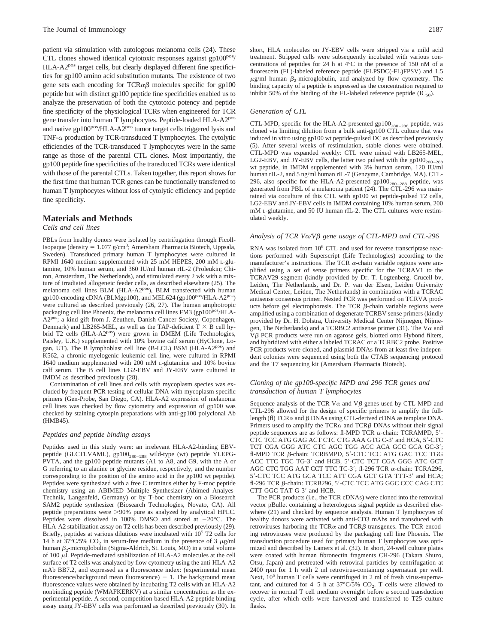patient via stimulation with autologous melanoma cells (24). These CTL clones showed identical cytotoxic responses against gp100<sup>pos</sup>/ HLA-A2<sup>pos</sup> target cells, but clearly displayed different fine specificities for gp100 amino acid substitution mutants. The existence of two gene sets each encoding for  $TCR\alpha\beta$  molecules specific for gp100 peptide but with distinct gp100 peptide fine specificities enabled us to analyze the preservation of both the cytotoxic potency and peptide fine specificity of the physiological TCRs when engineered for TCR gene transfer into human T lymphocytes. Peptide-loaded HLA-A2pos and native gp100<sup>pos</sup>/HLA-A2<sup>pos</sup> tumor target cells triggered lysis and TNF- $\alpha$  production by TCR-transduced T lymphocytes. The cytolytic efficiencies of the TCR-transduced T lymphocytes were in the same range as those of the parental CTL clones. Most importantly, the gp100 peptide fine specificities of the transduced TCRs were identical with those of the parental CTLs. Taken together, this report shows for the first time that human TCR genes can be functionally transferred to human T lymphocytes without loss of cytolytic efficiency and peptide fine specificity.

# **Materials and Methods**

# *Cells and cell lines*

PBLs from healthy donors were isolated by centrifugation through Ficoll-Isopaque (density =  $1.077$  g/cm<sup>3</sup>; Amersham Pharmacia Biotech, Uppsala, Sweden). Transduced primary human T lymphocytes were cultured in RPMI 1640 medium supplemented with 25 mM HEPES, 200 mM L-glutamine, 10% human serum, and 360 IU/ml human rIL-2 (Proleukin; Chiron, Amsterdam, The Netherlands), and stimulated every 2 wk with a mixture of irradiated allogeneic feeder cells, as described elsewhere (25). The melanoma cell lines BLM (HLA-A2pos), BLM transfected with human gp100-encoding cDNA (BLMgp100), and MEL624 (gp100<sup>pos</sup>/HLA-A2<sup>pos</sup>) were cultured as described previously (26, 27). The human amphotropic packaging cell line Phoenix, the melanoma cell lines FM3 (gp100<sup>pos</sup>/HLA-A2pos; a kind gift from J. Zeuthen, Danish Cancer Society, Copenhagen, Denmark) and LB265-MEL, as well as the TAP-deficient  $T \times B$  cell hybrid T2 cells (HLA-A2pos) were grown in DMEM (Life Technologies, Paisley, U.K.) supplemented with 10% bovine calf serum (HyClone, Logan, UT). The B lymphoblast cell line (B-LCL) BSM (HLA-A2pos) and K562, a chronic myelogenic leukemic cell line, were cultured in RPMI 1640 medium supplemented with 200 mM L-glutamine and 10% bovine calf serum. The B cell lines LG2-EBV and JY-EBV were cultured in IMDM as described previously (28).

Contamination of cell lines and cells with mycoplasm species was excluded by frequent PCR testing of cellular DNA with mycoplasm specific primers (Gen-Probe, San Diego, CA). HLA-A2 expression of melanoma cell lines was checked by flow cytometry and expression of gp100 was checked by staining cytospin preparations with anti-gp100 polyclonal Ab (HMB45).

## *Peptides and peptide binding assays*

Peptides used in this study were: an irrelevant HLA-A2-binding EBVpeptide (GLCTLVAML),  $gp100_{280-288}$  wild-type (wt) peptide YLEPG-PVTA, and the gp100 peptide mutants (A1 to A8, and G9, with the A or G referring to an alanine or glycine residue, respectively, and the number corresponding to the position of the amino acid in the gp100 wt peptide). Peptides were synthesized with a free C terminus either by F-moc peptide chemistry using an ABIMED Multiple Synthesizer (Abimed Analyes-Technik, Langenfeld, Germany) or by T-boc chemistry on a Biosearch SAM2 peptide synthesizer (Biosearch Technologies, Novato, CA). All peptide preparations were  $>90\%$  pure as analyzed by analytical HPLC. Peptides were dissolved in 100% DMSO and stored at  $-20^{\circ}$ C. The HLA-A2 stabilization assay on T2 cells has been described previously (29). Briefly, peptides at various dilutions were incubated with 105 T2 cells for 14 h at 37°C/5% CO<sub>2</sub> in serum-free medium in the presence of 3  $\mu$ g/ml human  $\beta_2$ -microglobulin (Sigma-Aldrich, St. Louis, MO) in a total volume of 100  $\mu$ l. Peptide-mediated stabilization of HLA-A2 molecules at the cell surface of T2 cells was analyzed by flow cytometry using the anti-HLA-A2 mAb BB7.2, and expressed as a fluorescence index: (experimental mean fluorescence/background mean fluorescence)  $-1$ . The background mean fluorescence values were obtained by incubating T2 cells with an HLA-A2 nonbinding peptide (WMAFKERKV) at a similar concentration as the experimental peptide. A second, competition-based HLA-A2 peptide binding assay using JY-EBV cells was performed as described previously (30). In

short, HLA molecules on JY-EBV cells were stripped via a mild acid treatment. Stripped cells were subsequently incubated with various concentrations of peptides for 24 h at 4°C in the presence of 150 nM of a fluorescein (FL)-labeled reference peptide (FLPSDC(-FL)FPSV) and 1.5  $\mu$ g/ml human  $\beta_2$ -microglobulin, and analyzed by flow cytometry. The binding capacity of a peptide is expressed as the concentration required to inhibit 50% of the binding of the FL-labeled reference peptide  $(IC_{50})$ .

# *Generation of CTL*

CTL-MPD, specific for the HLA-A2-presented  $gp100_{280-288}$  peptide, was cloned via limiting dilution from a bulk anti-gp100 CTL culture that was induced in vitro using gp100 wt peptide-pulsed DC as described previously (5). After several weeks of restimulation, stable clones were obtained. CTL-MPD was expanded weekly: CTL were mixed with LB265-MEL, LG2-EBV, and JY-EBV cells, the latter two pulsed with the  $gp100_{280-288}$ wt peptide, in IMDM supplemented with 3% human serum, 120 IU/ml human rIL-2, and 5 ng/ml human rIL-7 (Genzyme, Cambridge, MA). CTL-296, also specific for the HLA-A2-presented  $gp100_{280-288}$  peptide, was generated from PBL of a melanoma patient (24). The CTL-296 was maintained via coculture of this CTL with gp100 wt peptide-pulsed T2 cells, LG2-EBV and JY-EBV cells in IMDM containing 10% human serum, 200 mM L-glutamine, and 50 IU human rIL-2. The CTL cultures were restimulated weekly.

## *Analysis of TCR V*α/Vβ gene usage of CTL-MPD and CTL-296

RNA was isolated from  $10<sup>6</sup>$  CTL and used for reverse transcriptase reactions performed with Superscript (Life Technologies) according to the manufacturer's instructions. The TCR  $\alpha$ -chain variable regions were amplified using a set of sense primers specific for the TCRAV1 to the TCRAV29 segment (kindly provided by Dr. T. Logtenberg, Crucell bv, Leiden, The Netherlands, and Dr. P. van der Elsen, Leiden University Medical Center, Leiden, The Netherlands) in combination with a TCRAC antisense consensus primer. Nested PCR was performed on TCRVA products before gel electrophoresis. The TCR  $\beta$ -chain variable regions were amplified using a combination of degenerate TCRBV sense primers (kindly provided by Dr. H. Dolstra, University Medical Center Nijmegen, Nijmegen, The Netherlands) and a TCRBC2 antisense primer (31). The  $V\alpha$  and V $\beta$  PCR products were run on agarose gels, blotted onto Hybond filters, and hybridized with either a labeled TCRAC or a TCRBC2 probe. Positive PCR products were cloned, and plasmid DNAs from at least five independent colonies were sequenced using both the CTAB sequencing protocol and the T7 sequencing kit (Amersham Pharmacia Biotech).

# *Cloning of the gp100-specific MPD and 296 TCR genes and transduction of human T lymphocytes*

Sequence analysis of the TCR V $\alpha$  and V $\beta$  genes used by CTL-MPD and CTL-296 allowed for the design of specific primers to amplify the fulllength (fl) TCR $\alpha$  and  $\beta$  DNAs using CTL-derived cDNA as template DNA. Primers used to amplify the TCR $\alpha$  and TCR $\beta$  DNAs without their signal peptide sequences are as follows: fl-MPD TCR  $\alpha$ -chain: TCRAMPD, 5'-CTC TCC ATG GAG ACT CTC CTG AAA GTG C-3' and HCA, 5'-CTC TCT CGA GGG ATC CTC AGC TGG ACC ACA GCC GCA GC-3'; fl-MPD TCR β-chain: TCRBMPD, 5'-CTC TCC ATG GAC TCC TGG ACC TTC TGC TG-3' and HCB, 5'-CTC TCT CGA GGG ATC GCT AGC CTC TGG AAT CCT TTC TC-3'; fl-296 TCR α-chain: TCRA296, 5'-CTC TCC ATG GCA TCC ATT CGA GCT GTA TTT-3' and HCA; fl-296 TCR β-chain: TCRB296, 5'-CTC TCC ATG GGC CCC CAG CTC CTT GGC TAT G-3' and HCB.

The PCR products (i.e., the TCR cDNAs) were cloned into the retroviral vector pBullet containing a heterologous signal peptide as described elsewhere (21) and checked by sequence analysis. Human T lymphocytes of healthy donors were activated with anti-CD3 mAbs and transduced with retroviruses harboring the TCR $\alpha$  and TCR $\beta$  transgenes. The TCR-encoding retroviruses were produced by the packaging cell line Phoenix. The transduction procedure used for primary human T lymphocytes was optimized and described by Lamers et al. (32). In short, 24-well culture plates were coated with human fibronectin fragments CH-296 (Takara Shuzo, Otsu, Japan) and pretreated with retroviral particles by centrifugation at 2400 rpm for 1 h with 2 ml retrovirus-containing supernatant per well. Next,  $10<sup>6</sup>$  human T cells were centrifuged in 2 ml of fresh virus-supernatant, and cultured for  $4-5$  h at  $37^{\circ}C/5\%$  CO<sub>2</sub>. T cells were allowed to recover in normal T cell medium overnight before a second transduction cycle, after which cells were harvested and transferred to T25 culture flasks.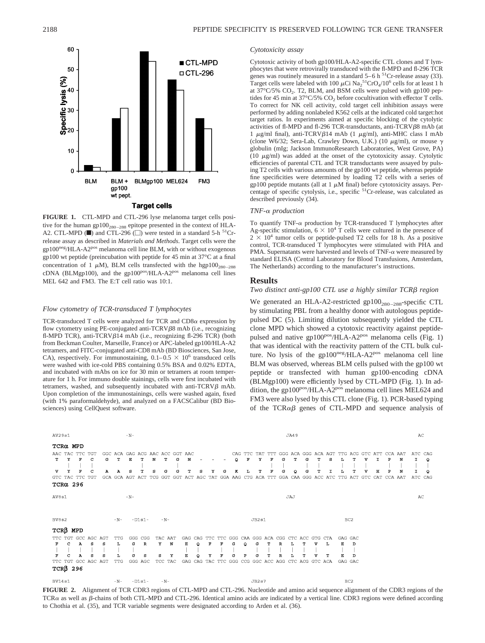

# **Target cells**

**FIGURE 1.** CTL-MPD and CTL-296 lyse melanoma target cells positive for the human gp100<sub>280-288</sub> epitope presented in the context of HLA-A2. CTL-MPD ( $\blacksquare$ ) and CTL-296 ( $\Box$ ) were tested in a standard 5-h <sup>51</sup>Crrelease assay as described in *Materials and Methods*. Target cells were the gp100neg/HLA-A2pos melanoma cell line BLM, with or without exogenous gp100 wt peptide (preincubation with peptide for 45 min at 37°C at a final concentration of 1  $\mu$ M), BLM cells transfected with the hgp100<sub>280-288</sub> cDNA (BLMgp100), and the gp100<sup>pos</sup>/HLA-A2<sup>pos</sup> melanoma cell lines MEL 642 and FM3. The E:T cell ratio was 10:1.

# *Flow cytometry of TCR-transduced T lymphocytes*

TCR-transduced T cells were analyzed for TCR and  $CD8\alpha$  expression by flow cytometry using PE-conjugated anti-TCRV $\beta$ 8 mAb (i.e., recognizing fl-MPD TCR), anti-TCRV $\beta$ 14 mAb (i.e., recognizing fl-296 TCR) (both from Beckman Coulter, Marseille, France) or APC-labeled gp100/HLA-A2 tetramers, and FITC-conjugated anti-CD8 mAb (BD Biosciences, San Jose, CA), respectively. For immunostaining,  $0.1-0.5 \times 10^6$  transduced cells were washed with ice-cold PBS containing 0.5% BSA and 0.02% EDTA, and incubated with mAbs on ice for 30 min or tetramers at room temperature for 1 h. For immuno double stainings, cells were first incubated with tetramers, washed, and subsequently incubated with anti-TCRV $\beta$  mAb. Upon completion of the immunostainings, cells were washed again, fixed (with 1% paraformaldehyde), and analyzed on a FACSCalibur (BD Biosciences) using CellQuest software.

# *Cytotoxicity assay*

Cytotoxic activity of both gp100/HLA-A2-specific CTL clones and T lymphocytes that were retrovirally transduced with the fl-MPD and fl-296 TCR genes was routinely measured in a standard  $5-6$  h  $^{51}$ Cr-release assay (33). Target cells were labeled with 100  $\mu$ Ci Na<sub>2</sub><sup>51</sup>CrO<sub>4</sub>/10<sup>6</sup> cells for at least 1 h at  $37^{\circ}$ C/5% CO<sub>2</sub>. T2, BLM, and BSM cells were pulsed with gp100 peptides for 45 min at 37°C/5%  $CO<sub>2</sub>$  before cocultivation with effector T cells. To correct for NK cell activity, cold target cell inhibition assays were performed by adding nonlabeled K562 cells at the indicated cold target:hot target ratios. In experiments aimed at specific blocking of the cytolytic activities of fl-MPD and fl-296 TCR-transductants, anti-TCRV $\beta$ 8 mAb (at 1  $\mu$ g/ml final), anti-TCRV $\beta$ 14 mAb (1  $\mu$ g/ml), anti-MHC class I mAb (clone W6/32; Sera-Lab, Crawley Down, U.K.) (10  $\mu$ g/ml), or mouse  $\gamma$ globulin (mIg; Jackson ImmunoResearch Laboratories, West Grove, PA) (10  $\mu$ g/ml) was added at the onset of the cytotoxicity assay. Cytolytic efficiencies of parental CTL and TCR transductants were assayed by pulsing T2 cells with various amounts of the gp100 wt peptide, whereas peptide fine specificities were determined by loading T2 cells with a series of gp100 peptide mutants (all at 1  $\mu$ M final) before cytotoxicity assays. Percentage of specific cytolysis, i.e., specific <sup>51</sup>Cr-release, was calculated as described previously (34).

#### *TNF-α production*

To quantify TNF- $\alpha$  production by TCR-transduced T lymphocytes after Ag-specific stimulation,  $6 \times 10^4$  T cells were cultured in the presence of  $2 \times 10^4$  tumor cells or peptide-pulsed T2 cells for 18 h. As a positive control, TCR-transduced T lymphocytes were stimulated with PHA and PMA. Supernatants were harvested and levels of TNF- $\alpha$  were measured by standard ELISA (Central Laboratory for Blood Transfusions, Amsterdam, The Netherlands) according to the manufacturer's instructions.

# **Results**

# Two distinct anti-gp100 CTL use a highly similar TCRβ region

We generated an HLA-A2-restricted  $gp100_{280-288}$ -specific CTL by stimulating PBL from a healthy donor with autologous peptidepulsed DC (5). Limiting dilution subsequently yielded the CTL clone MPD which showed a cytotoxic reactivity against peptidepulsed and native gp100<sup>pos</sup>/HLA-A2<sup>pos</sup> melanoma cells (Fig. 1) that was identical with the reactivity pattern of the CTL bulk culture. No lysis of the gp100 $neg/HLA-A2^{pos}$  melanoma cell line BLM was observed, whereas BLM cells pulsed with the gp100 wt peptide or transfected with human gp100-encoding cDNA (BLMgp100) were efficiently lysed by CTL-MPD (Fig. 1). In addition, the gp100<sup>pos</sup>/HLA-A2<sup>pos</sup> melanoma cell lines MEL624 and FM3 were also lysed by this CTL clone (Fig. 1). PCR-based typing of the  $TCR\alpha\beta$  genes of CTL-MPD and sequence analysis of



**FIGURE 2.** Alignment of TCR CDR3 regions of CTL-MPD and CTL-296. Nucleotide and amino acid sequence alignment of the CDR3 regions of the TCR $\alpha$  as well as  $\beta$ -chains of both CTL-MPD and CTL-296. Identical amino acids are indicated by a vertical line. CDR3 regions were defined according to Chothia et al. (35), and TCR variable segments were designated according to Arden et al. (36).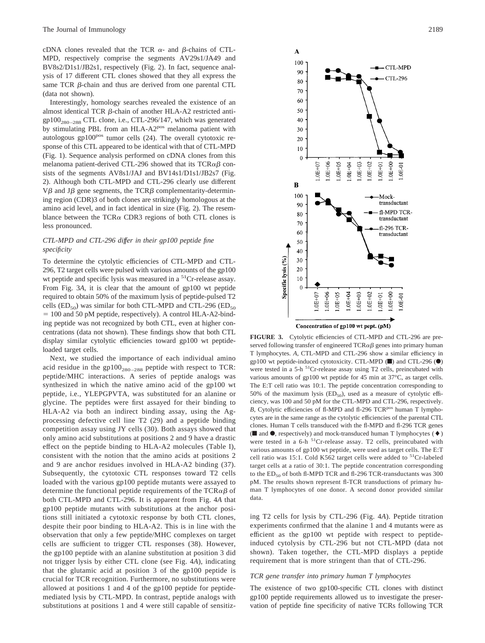cDNA clones revealed that the TCR  $\alpha$ - and  $\beta$ -chains of CTL-MPD, respectively comprise the segments AV29s1/JA49 and BV8s2/D1s1/JB2s1, respectively (Fig. 2). In fact, sequence analysis of 17 different CTL clones showed that they all express the same TCR  $\beta$ -chain and thus are derived from one parental CTL (data not shown).

Interestingly, homology searches revealed the existence of an almost identical TCR  $\beta$ -chain of another HLA-A2 restricted anti $gp100_{280-288}$  CTL clone, i.e., CTL-296/147, which was generated by stimulating PBL from an HLA-A2<sup>pos</sup> melanoma patient with autologous gp100<sup>pos</sup> tumor cells (24). The overall cytotoxic response of this CTL appeared to be identical with that of CTL-MPD (Fig. 1). Sequence analysis performed on cDNA clones from this melanoma patient-derived CTL-296 showed that its  $TCR\alpha\beta$  consists of the segments AV8s1/JAJ and BV14s1/D1s1/JB2s7 (Fig. 2). Although both CTL-MPD and CTL-296 clearly use different V $\beta$  and J $\beta$  gene segments, the TCR $\beta$  complementarity-determining region (CDR)3 of both clones are strikingly homologous at the amino acid level, and in fact identical in size (Fig. 2). The resemblance between the TCR $\alpha$  CDR3 regions of both CTL clones is less pronounced.

# *CTL-MPD and CTL-296 differ in their gp100 peptide fine specificity*

To determine the cytolytic efficiencies of CTL-MPD and CTL-296, T2 target cells were pulsed with various amounts of the gp100 wt peptide and specific lysis was measured in a <sup>51</sup>Cr-release assay. From Fig. 3*A*, it is clear that the amount of gp100 wt peptide required to obtain 50% of the maximum lysis of peptide-pulsed T2 cells (ED<sub>50</sub>) was similar for both CTL-MPD and CTL-296 (ED<sub>50</sub>)  $= 100$  and 50 pM peptide, respectively). A control HLA-A2-binding peptide was not recognized by both CTL, even at higher concentrations (data not shown). These findings show that both CTL display similar cytolytic efficiencies toward gp100 wt peptideloaded target cells.

Next, we studied the importance of each individual amino acid residue in the  $gp100_{280-288}$  peptide with respect to TCR: peptide/MHC interactions. A series of peptide analogs was synthesized in which the native amino acid of the gp100 wt peptide, i.e., YLEPGPVTA, was substituted for an alanine or glycine. The peptides were first assayed for their binding to HLA-A2 via both an indirect binding assay, using the Agprocessing defective cell line T2 (29) and a peptide binding competition assay using JY cells (30). Both assays showed that only amino acid substitutions at positions 2 and 9 have a drastic effect on the peptide binding to HLA-A2 molecules (Table I), consistent with the notion that the amino acids at positions 2 and 9 are anchor residues involved in HLA-A2 binding (37). Subsequently, the cytotoxic CTL responses toward T2 cells loaded with the various gp100 peptide mutants were assayed to determine the functional peptide requirements of the TCR $\alpha\beta$  of both CTL-MPD and CTL-296. It is apparent from Fig. 4*A* that gp100 peptide mutants with substitutions at the anchor positions still initiated a cytotoxic response by both CTL clones, despite their poor binding to HLA-A2. This is in line with the observation that only a few peptide/MHC complexes on target cells are sufficient to trigger CTL responses (38). However, the gp100 peptide with an alanine substitution at position 3 did not trigger lysis by either CTL clone (see Fig. 4*A*), indicating that the glutamic acid at position 3 of the gp100 peptide is crucial for TCR recognition. Furthermore, no substitutions were allowed at positions 1 and 4 of the gp100 peptide for peptidemediated lysis by CTL-MPD. In contrast, peptide analogs with substitutions at positions 1 and 4 were still capable of sensitiz-



**FIGURE 3.** Cytolytic efficiencies of CTL-MPD and CTL-296 are preserved following transfer of engineered  $TCR\alpha\beta$  genes into primary human T lymphocytes. *A*, CTL-MPD and CTL-296 show a similar efficiency in gp100 wt peptide-induced cytotoxicity. CTL-MPD  $(\blacksquare)$  and CTL-296  $(\lozenge)$ were tested in a 5-h <sup>51</sup>Cr-release assay using T2 cells, preincubated with various amounts of gp100 wt peptide for 45 min at 37°C, as target cells. The E:T cell ratio was 10:1. The peptide concentration corresponding to 50% of the maximum lysis  $(ED_{50})$ , used as a measure of cytolytic efficiency, was 100 and 50 pM for the CTL-MPD and CTL-296, respectively. *B*, Cytolytic efficiencies of fl-MPD and fl-296 TCR<sup>pos</sup> human T lymphocytes are in the same range as the cytolytic efficiencies of the parental CTL clones. Human T cells transduced with the fl-MPD and fl-296 TCR genes  $(\blacksquare$  and  $\lozenge$ , respectively) and mock-transduced human T lymphocytes  $(\lozenge)$ were tested in a 6-h <sup>51</sup>Cr-release assay. T2 cells, preincubated with various amounts of gp100 wt peptide, were used as target cells. The E:T cell ratio was 15:1. Cold K562 target cells were added to  ${}^{51}Cr$ -labeled target cells at a ratio of 30:1. The peptide concentration corresponding to the  $ED_{50}$  of both fl-MPD TCR and fl-296 TCR-transductants was 300 pM. The results shown represent fl-TCR transductions of primary human T lymphocytes of one donor. A second donor provided similar data.

ing T2 cells for lysis by CTL-296 (Fig. 4*A*). Peptide titration experiments confirmed that the alanine 1 and 4 mutants were as efficient as the gp100 wt peptide with respect to peptideinduced cytolysis by CTL-296 but not CTL-MPD (data not shown). Taken together, the CTL-MPD displays a peptide requirement that is more stringent than that of CTL-296.

# *TCR gene transfer into primary human T lymphocytes*

The existence of two gp100-specific CTL clones with distinct gp100 peptide requirements allowed us to investigate the preservation of peptide fine specificity of native TCRs following TCR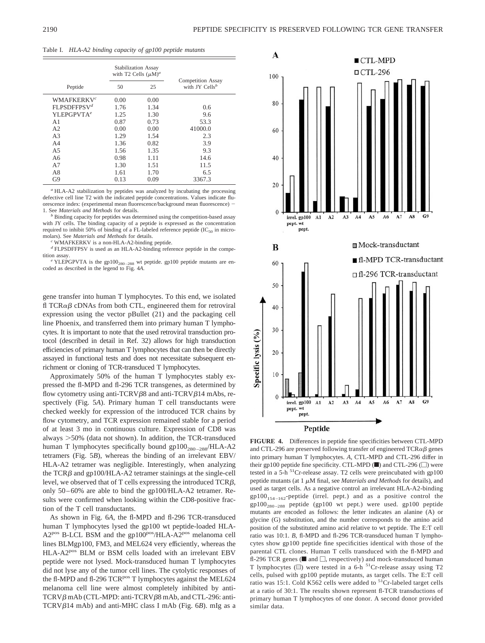Table I. *HLA-A2 binding capacity of gp100 peptide mutants*

|                         | <b>Stabilization Assay</b><br>with T2 Cells $(\mu M)^a$ |      |                                                        |
|-------------------------|---------------------------------------------------------|------|--------------------------------------------------------|
| Peptide                 | 50                                                      | 25   | <b>Competition Assay</b><br>with JY Cells <sup>b</sup> |
| WMAFKERKV $^c$          | 0.00                                                    | 0.00 |                                                        |
| FLPSDFFPSV <sup>d</sup> | 1.76                                                    | 1.34 | 0.6                                                    |
| YLEPGPVTA <sup>e</sup>  | 1.25                                                    | 1.30 | 9.6                                                    |
| A1                      | 0.87                                                    | 0.73 | 53.3                                                   |
| A <sub>2</sub>          | 0.00                                                    | 0.00 | 41000.0                                                |
| A <sub>3</sub>          | 1.29                                                    | 1.54 | 2.3                                                    |
| A <sub>4</sub>          | 1.36                                                    | 0.82 | 3.9                                                    |
| A <sub>5</sub>          | 1.56                                                    | 1.35 | 9.3                                                    |
| A6                      | 0.98                                                    | 1.11 | 14.6                                                   |
| A7                      | 1.30                                                    | 1.51 | 11.5                                                   |
| A8                      | 1.61                                                    | 1.70 | 6.5                                                    |
| G <sub>9</sub>          | 0.13                                                    | 0.09 | 3367.3                                                 |

*<sup>a</sup>* HLA-A2 stabilization by peptides was analyzed by incubating the processing defective cell line T2 with the indicated peptide concentrations. Values indicate fluorescence index: (experimental mean fluorescence/background mean fluorescence) 1. See *Materials and Methods* for details.

<sup>b</sup> Binding capacity for peptides was determined using the competition-based assay with JY cells. The binding capacity of a peptide is expressed as the concentration required to inhibit 50% of binding of a FL-labeled reference peptide ( $IC_{50}$  in micro-molars). See *Materials and Methods* for details.

WMAFKERKV is a non-HLA-A2-binding peptide.

*<sup>d</sup>* FLPSDFFPSV is used as an HLA-A2-binding reference peptide in the competition assay.<br>*e* YLEPGPVTA is the gp100<sub>280-288</sub> wt peptide. gp100 peptide mutants are en-

coded as described in the legend to Fig. 4*A*.

gene transfer into human T lymphocytes. To this end, we isolated fl TCR $\alpha\beta$  cDNAs from both CTL, engineered them for retroviral expression using the vector pBullet (21) and the packaging cell line Phoenix, and transferred them into primary human T lymphocytes. It is important to note that the used retroviral transduction protocol (described in detail in Ref. 32) allows for high transduction efficiencies of primary human T lymphocytes that can then be directly assayed in functional tests and does not necessitate subsequent enrichment or cloning of TCR-transduced T lymphocytes.

Approximately 50% of the human T lymphocytes stably expressed the fl-MPD and fl-296 TCR transgenes, as determined by flow cytometry using anti-TCRV $\beta$ 8 and anti-TCRV $\beta$ 14 mAbs, respectively (Fig. 5*A*). Primary human T cell transductants were checked weekly for expression of the introduced TCR chains by flow cytometry, and TCR expression remained stable for a period of at least 3 mo in continuous culture. Expression of CD8 was always 50% (data not shown). In addition, the TCR-transduced human T lymphocytes specifically bound gp100<sub>280-288</sub>/HLA-A2 tetramers (Fig. 5*B*), whereas the binding of an irrelevant EBV/ HLA-A2 tetramer was negligible. Interestingly, when analyzing the  $TCR\beta$  and gp100/HLA-A2 tetramer stainings at the single-cell level, we observed that of T cells expressing the introduced  $TCR\beta$ , only 50–60% are able to bind the gp100/HLA-A2 tetramer. Results were confirmed when looking within the CD8-positive fraction of the T cell transductants.

As shown in Fig. 6*A*, the fl-MPD and fl-296 TCR-transduced human T lymphocytes lysed the gp100 wt peptide-loaded HLA-A2<sup>pos</sup> B-LCL BSM and the gp100<sup>pos</sup>/HLA-A2<sup>pos</sup> melanoma cell lines BLMgp100, FM3, and MEL624 very efficiently, whereas the HLA-A2pos BLM or BSM cells loaded with an irrelevant EBV peptide were not lysed. Mock-transduced human T lymphocytes did not lyse any of the tumor cell lines. The cytolytic responses of the fl-MPD and fl-296 TCR<sup>pos</sup> T lymphocytes against the MEL624 melanoma cell line were almost completely inhibited by anti- $TCRV\beta$  mAb (CTL-MPD: anti-TCRV $\beta$ 8 mAb, and CTL-296: anti-TCRVβ14 mAb) and anti-MHC class I mAb (Fig. 6*B*). mIg as a



**FIGURE 4.** Differences in peptide fine specificities between CTL-MPD and CTL-296 are preserved following transfer of engineered  $TCR\alpha\beta$  genes into primary human T lymphocytes. *A*, CTL-MPD and CTL-296 differ in their gp100 peptide fine specificity. CTL-MPD  $(\blacksquare)$  and CTL-296  $(\square)$  were tested in a 5-h  $^{51}$ Cr-release assay. T2 cells were preincubated with gp100 peptide mutants (at  $1 \mu M$  final, see *Materials and Methods* for details), and used as target cells. As a negative control an irrelevant HLA-A2-binding  $gp100_{154-162}$ -peptide (irrel. pept.) and as a positive control the  $gp100_{280-288}$  peptide (gp100 wt pept.) were used. gp100 peptide mutants are encoded as follows: the letter indicates an alanine (A) or glycine (G) substitution, and the number corresponds to the amino acid position of the substituted amino acid relative to wt peptide. The E:T cell ratio was 10:1. *B*, fl-MPD and fl-296 TCR-transduced human T lymphocytes show gp100 peptide fine specificities identical with those of the parental CTL clones. Human T cells transduced with the fl-MPD and fl-296 TCR genes ( $\blacksquare$  and  $\Box$ , respectively) and mock-transduced human T lymphocytes  $\textcircled{\textsf{m}}$  were tested in a 6-h <sup>51</sup>Cr-release assay using T2 cells, pulsed with gp100 peptide mutants, as target cells. The E:T cell ratio was 15:1. Cold K562 cells were added to <sup>51</sup>Cr-labeled target cells at a ratio of 30:1. The results shown represent fl-TCR transductions of primary human T lymphocytes of one donor. A second donor provided similar data.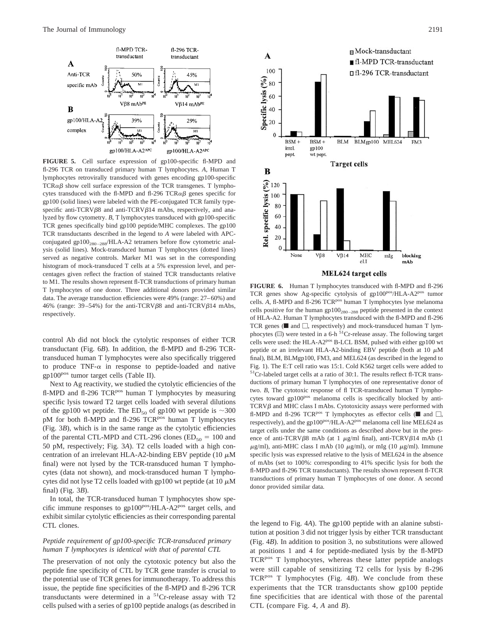

**FIGURE 5.** Cell surface expression of gp100-specific fl-MPD and fl-296 TCR on transduced primary human T lymphocytes. *A*, Human T lymphocytes retrovirally transduced with genes encoding gp100-specific  $TCR\alpha\beta$  show cell surface expression of the TCR transgenes. T lymphocytes transduced with the fl-MPD and fl-296 TCR $\alpha\beta$  genes specific for gp100 (solid lines) were labeled with the PE-conjugated TCR family typespecific anti-TCRV $\beta$ 8 and anti-TCRV $\beta$ 14 mAbs, respectively, and analyzed by flow cytometry. *B*, T lymphocytes transduced with gp100-specific TCR genes specifically bind gp100 peptide/MHC complexes. The gp100 TCR transductants described in the legend to *A* were labeled with APCconjugated gp100<sub>280-288</sub>/HLA-A2 tetramers before flow cytometric analysis (solid lines). Mock-transduced human T lymphocytes (dotted lines) served as negative controls. Marker M1 was set in the corresponding histogram of mock-transduced T cells at a 5% expression level, and percentages given reflect the fraction of stained TCR transductants relative to M1. The results shown represent fl-TCR transductions of primary human T lymphocytes of one donor. Three additional donors provided similar data. The average transduction efficiencies were 49% (range: 27–60%) and 46% (range:  $39-54%$ ) for the anti-TCRV $\beta$ 8 and anti-TCRV $\beta$ 14 mAbs, respectively.

control Ab did not block the cytolytic responses of either TCR transductant (Fig. 6*B*). In addition, the fl-MPD and fl-296 TCRtransduced human T lymphocytes were also specifically triggered to produce TNF- $\alpha$  in response to peptide-loaded and native gp100pos tumor target cells (Table II).

Next to Ag reactivity, we studied the cytolytic efficiencies of the fl-MPD and fl-296 TCR<sup>pos</sup> human T lymphocytes by measuring specific lysis toward T2 target cells loaded with several dilutions of the gp100 wt peptide. The  $ED_{50}$  of gp100 wt peptide is  $\sim$ 300 pM for both fl-MPD and fl-296 TCR<sup>pos</sup> human T lymphocytes (Fig. 3*B*), which is in the same range as the cytolytic efficiencies of the parental CTL-MPD and CTL-296 clones ( $ED_{50} = 100$  and 50 pM, respectively; Fig. 3*A*). T2 cells loaded with a high concentration of an irrelevant HLA-A2-binding EBV peptide (10  $\mu$ M final) were not lysed by the TCR-transduced human T lymphocytes (data not shown), and mock-transduced human T lymphocytes did not lyse T2 cells loaded with gp100 wt peptide (at  $10 \mu$ M final) (Fig. 3*B*).

In total, the TCR-transduced human T lymphocytes show specific immune responses to  $gp100^{pos}/HLA-A2^{pos}$  target cells, and exhibit similar cytolytic efficiencies as their corresponding parental CTL clones.

# *Peptide requirement of gp100-specific TCR-transduced primary human T lymphocytes is identical with that of parental CTL*

The preservation of not only the cytotoxic potency but also the peptide fine specificity of CTL by TCR gene transfer is crucial to the potential use of TCR genes for immunotherapy. To address this issue, the peptide fine specificities of the fl-MPD and fl-296 TCR transductants were determined in a 51Cr-release assay with T2 cells pulsed with a series of gp100 peptide analogs (as described in



**FIGURE 6.** Human T lymphocytes transduced with fl-MPD and fl-296

TCR genes show Ag-specific cytolysis of gp100<sup>pos</sup>/HLA-A2<sup>pos</sup> tumor cells. A, fl-MPD and fl-296 TCR<sup>pos</sup> human T lymphocytes lyse melanoma cells positive for the human  $gp100_{280-288}$  peptide presented in the context of HLA-A2. Human T lymphocytes transduced with the fl-MPD and fl-296 TCR genes ( $\blacksquare$  and  $\Box$ , respectively) and mock-transduced human T lymphocytes ( $\Box$ ) were tested in a 6-h <sup>51</sup>Cr-release assay. The following target cells were used: the HLA-A2<sup>pos</sup> B-LCL BSM, pulsed with either gp100 wt peptide or an irrelevant HLA-A2-binding EBV peptide (both at 10  $\mu$ M final), BLM, BLMgp100, FM3, and MEL624 (as described in the legend to Fig. 1). The E:T cell ratio was 15:1. Cold K562 target cells were added to 51Cr-labeled target cells at a ratio of 30:1. The results reflect fl-TCR transductions of primary human T lymphocytes of one representative donor of two. *B*, The cytotoxic response of fl TCR-transduced human T lymphocytes toward gp100<sup>pos</sup> melanoma cells is specifically blocked by anti- $TCRV\beta$  and MHC class I mAbs. Cytotoxicity assays were performed with fl-MPD and fl-296 TCR<sup>pos</sup> T lymphocytes as effector cells ( $\blacksquare$  and  $\Box$ , respectively), and the gp100<sup>pos</sup>/HLA-A2<sup>pos</sup> melanoma cell line MEL624 as target cells under the same conditions as described above but in the presence of anti-TCRV $\beta$ 8 mAb (at 1  $\mu$ g/ml final), anti-TCRV $\beta$ 14 mAb (1  $\mu$ g/ml), anti-MHC class I mAb (10  $\mu$ g/ml), or mIg (10  $\mu$ g/ml). Immune specific lysis was expressed relative to the lysis of MEL624 in the absence of mAbs (set to 100%: corresponding to 41% specific lysis for both the fl-MPD and fl-296 TCR transductants). The results shown represent fl-TCR transductions of primary human T lymphocytes of one donor. A second donor provided similar data.

the legend to Fig. 4*A*). The gp100 peptide with an alanine substitution at position 3 did not trigger lysis by either TCR transductant (Fig. 4*B*). In addition to position 3, no substitutions were allowed at positions 1 and 4 for peptide-mediated lysis by the fl-MPD TCR<sup>pos</sup> T lymphocytes, whereas these latter peptide analogs were still capable of sensitizing T2 cells for lysis by fl-296 TCR<sup>pos</sup> T lymphocytes (Fig. 4B). We conclude from these experiments that the TCR transductants show gp100 peptide fine specificities that are identical with those of the parental CTL (compare Fig. 4, *A* and *B*).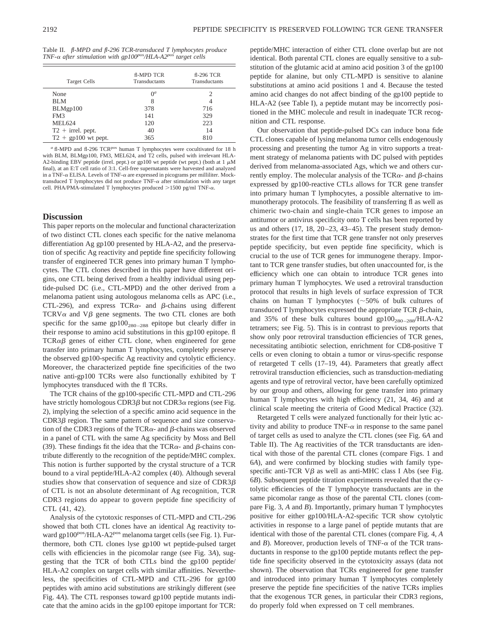| <b>Target Cells</b>   | <b>fl-MPD TCR</b><br><b>Transductants</b> | fl-296 TCR<br>Transductants |
|-----------------------|-------------------------------------------|-----------------------------|
| None                  | $\Omega^a$                                |                             |
| BLM                   | 8                                         |                             |
| BLMgp100              | 378                                       | 716                         |
| FM3                   | 141                                       | 329                         |
| MEL624                | 120                                       | 223                         |
| $T2 + irrel.$ pept.   | 40                                        | 14                          |
| $T2 + gp100$ wt pept. | 365                                       | 810                         |

<sup>*a*</sup> fl-MPD and fl-296 TCR<sup>pos</sup> human T lymphocytes were cocultivated for 18 h with BLM, BLMgp100, FM3, MEL624, and T2 cells, pulsed with irrelevant HLA-A2-binding EBV peptide (irrel. pept.) or gp100 wt peptide (wt pept.) (both at  $1 \mu M$ final), at an E:T cell ratio of 3:1. Cell-free supernatants were harvested and analyzed in a TNF- $\alpha$  ELISA. Levels of TNF- $\alpha$  are expressed in picograms per milliliter. Mocktransduced T lymphocytes did not produce  $TNF-\alpha$  after stimulation with any target cell. PHA/PMA-stimulated T lymphocytes produced  $>$ 1500 pg/ml TNF- $\alpha$ .

# **Discussion**

This paper reports on the molecular and functional characterization of two distinct CTL clones each specific for the native melanoma differentiation Ag gp100 presented by HLA-A2, and the preservation of specific Ag reactivity and peptide fine specificity following transfer of engineered TCR genes into primary human T lymphocytes. The CTL clones described in this paper have different origins, one CTL being derived from a healthy individual using peptide-pulsed DC (i.e., CTL-MPD) and the other derived from a melanoma patient using autologous melanoma cells as APC (i.e., CTL-296), and express TCR $\alpha$ - and  $\beta$ -chains using different  $TCRV\alpha$  and  $V\beta$  gene segments. The two CTL clones are both specific for the same  $gp100_{280-288}$  epitope but clearly differ in their response to amino acid substitutions in this gp100 epitope. fl  $TCR\alpha\beta$  genes of either CTL clone, when engineered for gene transfer into primary human T lymphocytes, completely preserve the observed gp100-specific Ag reactivity and cytolytic efficiency. Moreover, the characterized peptide fine specificities of the two native anti-gp100 TCRs were also functionally exhibited by T lymphocytes transduced with the fl TCRs.

The TCR chains of the gp100-specific CTL-MPD and CTL-296 have strictly homologous CDR3 $\beta$  but not CDR3 $\alpha$  regions (see Fig. 2), implying the selection of a specific amino acid sequence in the  $CDR3\beta$  region. The same pattern of sequence and size conservation of the CDR3 regions of the TCR $\alpha$ - and  $\beta$ -chains was observed in a panel of CTL with the same Ag specificity by Moss and Bell (39). These findings fit the idea that the TCR $\alpha$ - and  $\beta$ -chains contribute differently to the recognition of the peptide/MHC complex. This notion is further supported by the crystal structure of a TCR bound to a viral peptide/HLA-A2 complex (40). Although several studies show that conservation of sequence and size of  $CDR3\beta$ of CTL is not an absolute determinant of Ag recognition, TCR CDR3 regions do appear to govern peptide fine specificity of CTL (41, 42).

Analysis of the cytotoxic responses of CTL-MPD and CTL-296 showed that both CTL clones have an identical Ag reactivity toward gp100<sup>pos</sup>/HLA-A2<sup>pos</sup> melanoma target cells (see Fig. 1). Furthermore, both CTL clones lyse gp100 wt peptide-pulsed target cells with efficiencies in the picomolar range (see Fig. 3*A*), suggesting that the TCR of both CTLs bind the gp100 peptide/ HLA-A2 complex on target cells with similar affinities. Nevertheless, the specificities of CTL-MPD and CTL-296 for gp100 peptides with amino acid substitutions are strikingly different (see Fig. 4*A*). The CTL responses toward gp100 peptide mutants indicate that the amino acids in the gp100 epitope important for TCR:

peptide/MHC interaction of either CTL clone overlap but are not identical. Both parental CTL clones are equally sensitive to a substitution of the glutamic acid at amino acid position 3 of the gp100 peptide for alanine, but only CTL-MPD is sensitive to alanine substitutions at amino acid positions 1 and 4. Because the tested amino acid changes do not affect binding of the gp100 peptide to HLA-A2 (see Table I), a peptide mutant may be incorrectly positioned in the MHC molecule and result in inadequate TCR recognition and CTL response.

Our observation that peptide-pulsed DCs can induce bona fide CTL clones capable of lysing melanoma tumor cells endogenously processing and presenting the tumor Ag in vitro supports a treatment strategy of melanoma patients with DC pulsed with peptides derived from melanoma-associated Ags, which we and others currently employ. The molecular analysis of the TCR $\alpha$ - and  $\beta$ -chains expressed by gp100-reactive CTLs allows for TCR gene transfer into primary human T lymphocytes, a possible alternative to immunotherapy protocols. The feasibility of transferring fl as well as chimeric two-chain and single-chain TCR genes to impose an antitumor or antivirus specificity onto T cells has been reported by us and others  $(17, 18, 20-23, 43-45)$ . The present study demonstrates for the first time that TCR gene transfer not only preserves peptide specificity, but even peptide fine specificity, which is crucial to the use of TCR genes for immunogene therapy. Important to TCR gene transfer studies, but often unaccounted for, is the efficiency which one can obtain to introduce TCR genes into primary human T lymphocytes. We used a retroviral transduction protocol that results in high levels of surface expression of TCR chains on human T lymphocytes  $({\sim}50\%$  of bulk cultures of transduced T lymphocytes expressed the appropriate TCR  $\beta$ -chain, and 35% of these bulk cultures bound  $gp100_{280-288}$ /HLA-A2 tetramers; see Fig. 5). This is in contrast to previous reports that show only poor retroviral transduction efficiencies of TCR genes, necessitating antibiotic selection, enrichment for CD8-positive T cells or even cloning to obtain a tumor or virus-specific response of retargeted T cells (17–19, 44). Parameters that greatly affect retroviral transduction efficiencies, such as transduction-mediating agents and type of retroviral vector, have been carefully optimized by our group and others, allowing for gene transfer into primary human T lymphocytes with high efficiency (21, 34, 46) and at clinical scale meeting the criteria of Good Medical Practice (32).

Retargeted T cells were analyzed functionally for their lytic activity and ability to produce  $TNF-\alpha$  in response to the same panel of target cells as used to analyze the CTL clones (see Fig. 6*A* and Table II). The Ag reactivities of the TCR transductants are identical with those of the parental CTL clones (compare Figs. 1 and 6*A*), and were confirmed by blocking studies with family typespecific anti-TCR  $V\beta$  as well as anti-MHC class I Abs (see Fig. 6*B*). Subsequent peptide titration experiments revealed that the cytolytic efficiencies of the T lymphocyte transductants are in the same picomolar range as those of the parental CTL clones (compare Fig. 3, *A* and *B*). Importantly, primary human T lymphocytes positive for either gp100/HLA-A2-specific TCR show cytolytic activities in response to a large panel of peptide mutants that are identical with those of the parental CTL clones (compare Fig. 4, *A* and  $B$ ). Moreover, production levels of TNF- $\alpha$  of the TCR transductants in response to the gp100 peptide mutants reflect the peptide fine specificity observed in the cytotoxicity assays (data not shown). The observation that TCRs engineered for gene transfer and introduced into primary human T lymphocytes completely preserve the peptide fine specificities of the native TCRs implies that the exogenous TCR genes, in particular their CDR3 regions, do properly fold when expressed on T cell membranes.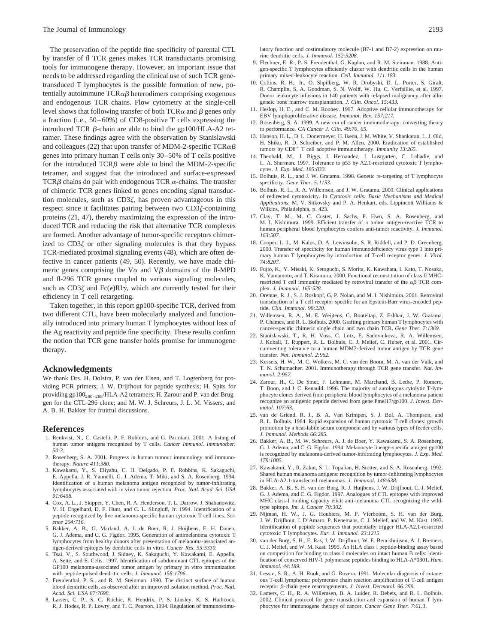The preservation of the peptide fine specificity of parental CTL by transfer of fl TCR genes makes TCR transductants promising tools for immunogene therapy. However, an important issue that needs to be addressed regarding the clinical use of such TCR genetransduced T lymphocytes is the possible formation of new, potentially autoimmune  $TCR\alpha\beta$  heterodimers comprising exogenous and endogenous TCR chains. Flow cytometry at the single-cell level shows that following transfer of both  $TCR\alpha$  and  $\beta$  genes only a fraction (i.e., 50–60%) of CD8-positive T cells expressing the introduced TCR  $\beta$ -chain are able to bind the gp100/HLA-A2 tetramer. These findings agree with the observation by Stanislawski and colleagues (22) that upon transfer of MDM-2-specific TCR $\alpha\beta$ genes into primary human T cells only 30–50% of T cells positive for the introduced  $TCR\beta$  were able to bind the MDM-2-specific tetramer, and suggest that the introduced and surface-expressed TCR $\beta$  chains do pair with endogenous TCR  $\alpha$ -chains. The transfer of chimeric TCR genes linked to genes encoding signal transduction molecules, such as  $CD3\zeta$ , has proven advantageous in this respect since it facilitates pairing between two  $CD3\zeta$ -containing proteins (21, 47), thereby maximizing the expression of the introduced TCR and reducing the risk that alternative TCR complexes are formed. Another advantage of tumor-specific receptors chimerized to  $CD3\zeta$  or other signaling molecules is that they bypass TCR-mediated proximal signaling events (48), which are often defective in cancer patients (49, 50). Recently, we have made chimeric genes comprising the  $V\alpha$  and  $V\beta$  domains of the fl-MPD and fl-296 TCR genes coupled to various signaling molecules, such as  $CD3\zeta$  and  $Fc(\epsilon)RI\gamma$ , which are currently tested for their efficiency in T cell retargeting.

Taken together, in this report gp100-specific TCR, derived from two different CTL, have been molecularly analyzed and functionally introduced into primary human T lymphocytes without loss of the Ag reactivity and peptide fine specificity. These results confirm the notion that TCR gene transfer holds promise for immunogene therapy.

# **Acknowledgments**

We thank Drs. H. Dolstra, P. van der Elsen, and T. Logtenberg for providing PCR primers; J. W. Drijfhout for peptide synthesis; H. Spits for providing gp100<sub>280-288</sub>/HLA-A2 tetramers; H. Zarour and P. van der Bruggen for the CTL-296 clone; and M. W. J. Schreurs, J. L. M. Vissers, and A. B. H. Bakker for fruitful discussions.

## **References**

- 1. Renkvist, N., C. Castelli, P. F. Robbins, and G. Parmiani. 2001. A listing of human tumor antigens recognized by T cells. *Cancer Immunol. Immunother. 50:3.*
- 2. Rosenberg, S. A. 2001. Progress in human tumour immunology and immunotherapy. *Nature 411:380.*
- 3. Kawakami, Y., S. Eliyahu, C. H. Delgado, P. F. Robbins, K. Sakaguchi, E. Appella, J. R. Yannelli, G. J. Adema, T. Miki, and S. A. Rosenberg. 1994. Identification of a human melanoma antigen recognized by tumor-infiltrating lymphocytes associated with in vivo tumor rejection. *Proc. Natl. Acad. Sci. USA 91:6458.*
- 4. Cox, A. L., J. Skipper, Y. Chen, R. A. Henderson, T. L. Darrow, J. Shabanowitz, V. H. Engelhard, D. F. Hunt, and C. L. Slingluff, Jr. 1994. Identification of a peptide recognized by five melanoma-specific human cytotoxic T cell lines. *Science 264:716.*
- 5. Bakker, A. B., G. Marland, A. J. de Boer, R. J. Huijbens, E. H. Danen, G. J. Adema, and C. G. Figdor. 1995. Generation of antimelanoma cytotoxic T lymphocytes from healthy donors after presentation of melanoma-associated antigen-derived epitopes by dendritic cells in vitro. *Cancer Res. 55:5330.*
- 6. Tsai, V., S. Southwood, J. Sidney, K. Sakaguchi, Y. Kawakami, E. Appella, A. Sette, and E. Celis. 1997. Identification of subdominant CTL epitopes of the GP100 melanoma-associated tumor antigen by primary in vitro immunization with peptide-pulsed dendritic cells. *J. Immunol. 158:1796.*
- 7. Freudenthal, P. S., and R. M. Steinman. 1990. The distinct surface of human blood dendritic cells, as observed after an improved isolation method. *Proc. Natl. Acad. Sci. USA 87:7698.*
- 8. Larsen, C. P., S. C. Ritchie, R. Hendrix, P. S. Linsley, K. S. Hathcock, R. J. Hodes, R. P. Lowry, and T. C. Pearson. 1994. Regulation of immunostimu-

latory function and costimulatory molecule (B7-1 and B7-2) expression on murine dendritic cells. *J. Immunol. 152:5208.*

- 9. Flechner, E. R., P. S. Freudenthal, G. Kaplan, and R. M. Steinman. 1988. Antigen-specific T lymphocytes efficiently cluster with dendritic cells in the human primary mixed-leukocyte reaction. *Cell. Immunol. 111:183.*
- 10. Collins, R. H., Jr., O. Shpilberg, W. R. Drobyski, D. L. Porter, S. Giralt, R. Champlin, S. A. Goodman, S. N. Wolff, W. Hu, C. Verfaillie, et al. 1997. Donor leukocyte infusions in 140 patients with relapsed malignancy after allogeneic bone marrow transplantation. *J. Clin. Oncol. 15:433.*
- 11. Heslop, H. E., and C. M. Rooney. 1997. Adoptive cellular immunotherapy for EBV lymphoproliferative disease. *Immunol. Rev. 157:217.*
- 12. Rosenberg, S. A. 1999. A new era of cancer immunotherapy: converting theory to performance. *CA Cancer J. Clin. 49:70, 65*.
- 13. Hanson, H. L., D. L. Donermeyer, H. Ikeda, J. M. White, V. Shankaran, L. J. Old, H. Shiku, R. D. Schreiber, and P. M. Allen. 2000. Eradication of established tumors by CD8<sup>+</sup> T cell adoptive immunotherapy. *Immunity 13:265*.
- 14. Theobald, M., J. Biggs, J. Hernandez, J. Lustgarten, C. Labadie, and L. A. Sherman. 1997. Tolerance to p53 by A2.1-restricted cytotoxic T lymphocytes. *J. Exp. Med. 185:833.*
- 15. Bolhuis, R. L., and J. W. Gratama. 1998. Genetic re-targeting of T lymphocyte specificity. *Gene Ther. 5:1153.*
- 16. Bolhuis, R. L., R. A. Willemsen, and J. W. Gratama. 2000. Clinical applications of redirected cytotoxicity. In *Cytotoxic cells: Basic Mechanisms and Medical Applications*. M. V. Sitkovsky and P. A. Henkart, eds. Lippincott Williams & Wilkins, Philadelphia, p. 423.
- 17. Clay, T. M., M. C. Custer, J. Sachs, P. Hwu, S. A. Rosenberg, and M. I. Nishimura. 1999. Efficient transfer of a tumor antigen-reactive TCR to human peripheral blood lymphocytes confers anti-tumor reactivity. *J. Immunol. 163:507.*
- 18. Cooper, L. J., M. Kalos, D. A. Lewinsohn, S. R. Riddell, and P. D. Greenberg. 2000. Transfer of specificity for human immunodeficiency virus type 1 into primary human T lymphocytes by introduction of T-cell receptor genes. *J. Virol. 74:8207.*
- 19. Fujio, K., Y. Misaki, K. Setoguchi, S. Morita, K. Kawahata, I. Kato, T. Nosaka, K. Yamamoto, and T. Kitamura. 2000. Functional reconstitution of class II MHCrestricted T cell immunity mediated by retroviral transfer of the  $\alpha\beta$  TCR complex. *J. Immunol. 165:528.*
- 20. Orentas, R. J., S. J. Roskopf, G. P. Nolan, and M. I. Nishimura. 2001. Retroviral transduction of a T cell receptor specific for an Epstein-Barr virus-encoded peptide. *Clin. Immunol. 98:220.*
- 21. Willemsen, R. A., M. E. Weijtens, C. Ronteltap, Z. Eshhar, J. W. Gratama, P. Chames, and R. L. Bolhuis. 2000. Grafting primary human T lymphocytes with cancer-specific chimeric single chain and two chain TCR. *Gene Ther. 7:1369.*
- 22. Stanislawski, T., R. H. Voss, C. Lotz, E. Sadovnikova, R. A. Willemsen, J. Kuball, T. Ruppert, R. L. Bolhuis, C. J. Melief, C. Huber, et al. 2001. Circumventing tolerance to a human MDM2-derived tumor antigen by TCR gene transfer. *Nat. Immunol. 2:962.*
- 23. Kessels, H. W., M. C. Wolkers, M. C. van den Boom, M. A. van der Valk, and T. N. Schumacher. 2001. Immunotherapy through TCR gene transfer. *Nat. Immunol. 2:957.*
- 24. Zarour, H., C. De Smet, F. Lehmann, M. Marchand, B. Lethe, P. Romero, T. Boon, and J. C. Renauld. 1996. The majority of autologous cytolytic T-lymphocyte clones derived from peripheral blood lymphocytes of a melanoma patient recognize an antigenic peptide derived from gene Pmel17/gp100. *J. Invest. Dermatol. 107:63.*
- 25. van de Griend, R. J., B. A. Van Krimpen, S. J. Bol, A. Thompson, and R. L. Bolhuis. 1984. Rapid expansion of human cytotoxic T cell clones: growth promotion by a heat-labile serum component and by various types of feeder cells. *J. Immunol. Methods 66:285.*
- 26. Bakker, A. B., M. W. Schreurs, A. J. de Boer, Y. Kawakami, S. A. Rosenberg, G. J. Adema, and C. G. Figdor. 1994. Melanocyte lineage-specific antigen gp100 is recognized by melanoma-derived tumor-infiltrating lymphocytes. *J. Exp. Med. 179:1005.*
- 27. Kawakami, Y., R. Zakut, S. L. Topalian, H. Stotter, and S. A. Rosenberg. 1992. Shared human melanoma antigens: recognition by tumor-infiltrating lymphocytes in HLA-A2.1-transfected melanomas. *J. Immunol. 148:638.*
- 28. Bakker, A. B., S. H. van der Burg, R. J. Huijbens, J. W. Drijfhout, C. J. Melief, G. J. Adema, and C. G. Figdor. 1997. Analogues of CTL epitopes with improved MHC class-I binding capacity elicit anti-melanoma CTL recognizing the wildtype epitope. *Int. J. Cancer 70:302*.
- 29. Nijman, H. W., J. G. Houbiers, M. P. Vierboom, S. H. van der Burg, J. W. Drijfhout, J. D'Amaro, P. Kenemans, C. J. Melief, and W. M. Kast. 1993. Identification of peptide sequences that potentially trigger HLA-A2.1-restricted cytotoxic T lymphocytes. *Eur. J. Immunol. 23*:*1215*.
- 30. van der Burg, S. H., E. Ras, J. W. Drijfhout, W. E. Benckhuijsen, A. J. Bremers, C. J. Melief, and W. M. Kast. 1995. An HLA class I peptide-binding assay based on competition for binding to class I molecules on intact human B cells: identification of conserved HIV-1 polymerase peptides binding to HLA-A\*0301. *Hum. Immunol. 44:189.*
- 31. Lessin, S. R., A. H. Rook, and G. Rovera. 1991. Molecular diagnosis of cutaneous T-cell lymphoma: polymerase chain reaction amplification of T-cell antigen receptor β-chain gene rearrangements. *J. Invest. Dermatol. 96:299.*
- 32. Lamers, C. H., R. A. Willemsen, B. A. Luider, R. Debets, and R. L. Bolhuis. 2002. Clinical protocol for gene transduction and expansion of human T lymphocytes for immunogene therapy of cancer. *Cancer Gene Ther. 7:61.*3.